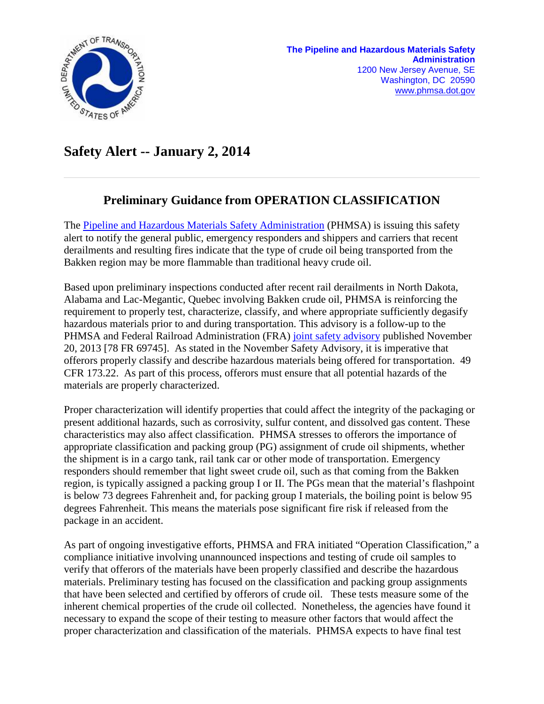

## **Safety Alert -- January 2, 2014**

## **Preliminary Guidance from OPERATION CLASSIFICATION**

The [Pipeline and Hazardous Materials Safety Administration](http://phmsa.dot.gov/portal/site/PHMSA) (PHMSA) is issuing this safety alert to notify the general public, emergency responders and shippers and carriers that recent derailments and resulting fires indicate that the type of crude oil being transported from the Bakken region may be more flammable than traditional heavy crude oil.

Based upon preliminary inspections conducted after recent rail derailments in North Dakota, Alabama and Lac-Megantic, Quebec involving Bakken crude oil, PHMSA is reinforcing the requirement to properly test, characterize, classify, and where appropriate sufficiently degasify hazardous materials prior to and during transportation. This advisory is a follow-up to the PHMSA and Federal Railroad Administration (FRA) [joint safety advisory](https://www.federalregister.gov/articles/2013/11/20/2013-27785/safety-and-security-plans-for-class-3-hazardous-materials-transported-by-rail) published November 20, 2013 [78 FR 69745]. As stated in the November Safety Advisory, it is imperative that offerors properly classify and describe hazardous materials being offered for transportation. 49 CFR 173.22. As part of this process, offerors must ensure that all potential hazards of the materials are properly characterized.

Proper characterization will identify properties that could affect the integrity of the packaging or present additional hazards, such as corrosivity, sulfur content, and dissolved gas content. These characteristics may also affect classification. PHMSA stresses to offerors the importance of appropriate classification and packing group (PG) assignment of crude oil shipments, whether the shipment is in a cargo tank, rail tank car or other mode of transportation. Emergency responders should remember that light sweet crude oil, such as that coming from the Bakken region, is typically assigned a packing group I or II. The PGs mean that the material's flashpoint is below 73 degrees Fahrenheit and, for packing group I materials, the boiling point is below 95 degrees Fahrenheit. This means the materials pose significant fire risk if released from the package in an accident.

As part of ongoing investigative efforts, PHMSA and FRA initiated "Operation Classification," a compliance initiative involving unannounced inspections and testing of crude oil samples to verify that offerors of the materials have been properly classified and describe the hazardous materials. Preliminary testing has focused on the classification and packing group assignments that have been selected and certified by offerors of crude oil. These tests measure some of the inherent chemical properties of the crude oil collected. Nonetheless, the agencies have found it necessary to expand the scope of their testing to measure other factors that would affect the proper characterization and classification of the materials. PHMSA expects to have final test